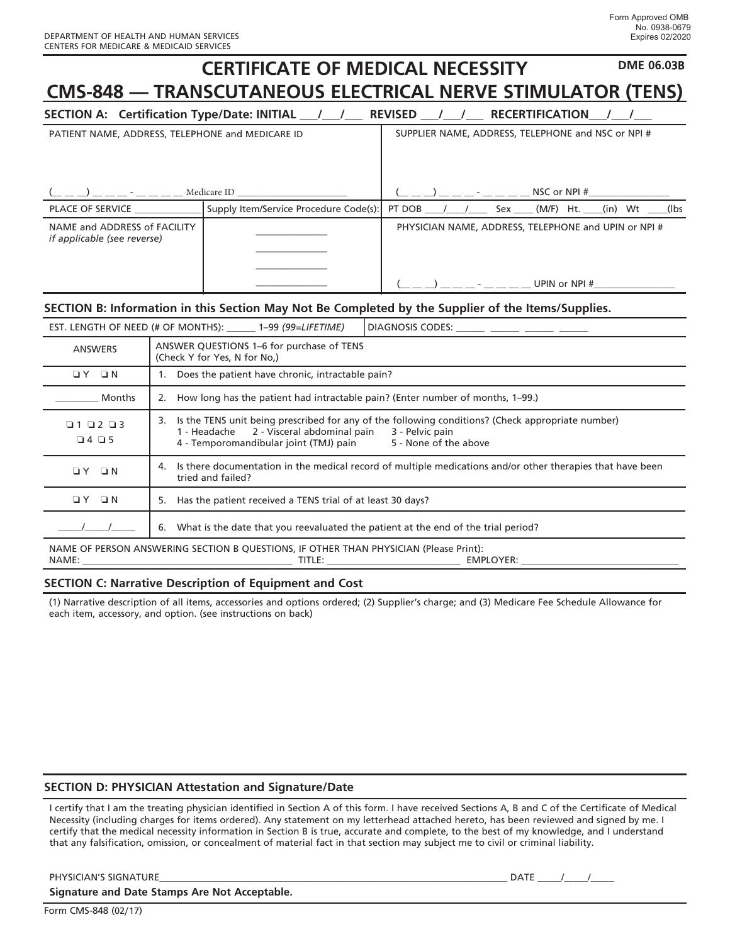|                                                                                                        | <b>DME 06.03B</b><br><b>CERTIFICATE OF MEDICAL NECESSITY</b>                                                                       |  |  |
|--------------------------------------------------------------------------------------------------------|------------------------------------------------------------------------------------------------------------------------------------|--|--|
| <b>CMS-848 — TRANSCUTANEOUS ELECTRICAL NERVE STIMULATOR (TENS)</b>                                     |                                                                                                                                    |  |  |
|                                                                                                        | SECTION A: Certification Type/Date: INITIAL __ / __ / __ REVISED __ / __ / __ RECERTIFICATION                                      |  |  |
| SUPPLIER NAME, ADDRESS, TELEPHONE and NSC or NPI #<br>PATIENT NAME, ADDRESS, TELEPHONE and MEDICARE ID |                                                                                                                                    |  |  |
|                                                                                                        |                                                                                                                                    |  |  |
|                                                                                                        | _ _ _) _ _ _ _ - _ _ _ _ _ _ Medicare ID _____________________                                                                     |  |  |
| PLACE OF SERVICE                                                                                       | Supply Item/Service Procedure Code(s):<br>PT DOB ____/ ____/ _____ Sex _____ (M/F) Ht. ____(in) Wt __<br>$($ lbs                   |  |  |
| NAME and ADDRESS of FACILITY<br><i>if applicable (see reverse)</i>                                     | PHYSICIAN NAME, ADDRESS, TELEPHONE and UPIN or NPI #                                                                               |  |  |
|                                                                                                        |                                                                                                                                    |  |  |
|                                                                                                        |                                                                                                                                    |  |  |
|                                                                                                        | $\overline{a}$ ) $\overline{a}$ - UPIN or NPI #                                                                                    |  |  |
| SECTION B: Information in this Section May Not Be Completed by the Supplier of the Items/Supplies.     |                                                                                                                                    |  |  |
|                                                                                                        | DIAGNOSIS CODES: ______ _____ ______ ______<br>EST. LENGTH OF NEED (# OF MONTHS): ______ 1-99 (99=LIFETIME)                        |  |  |
| <b>ANSWERS</b>                                                                                         | ANSWER QUESTIONS 1-6 for purchase of TENS<br>(Check Y for Yes, N for No.)                                                          |  |  |
| OY ON                                                                                                  | 1. Does the patient have chronic, intractable pain?                                                                                |  |  |
| Months                                                                                                 | 2. How long has the patient had intractable pain? (Enter number of months, 1-99.)                                                  |  |  |
| 010203                                                                                                 | 3. Is the TENS unit being prescribed for any of the following conditions? (Check appropriate number)                               |  |  |
| $\begin{array}{ccc}\n\Box & 4 & \Box & 5\n\end{array}$                                                 | 1 - Headache<br>2 - Visceral abdominal pain<br>3 - Pelvic pain<br>4 - Temporomandibular joint (TMJ) pain<br>5 - None of the above  |  |  |
| $\Box Y$ $\Box N$                                                                                      | 4. Is there documentation in the medical record of multiple medications and/or other therapies that have been<br>tried and failed? |  |  |
| OY ON                                                                                                  | 5. Has the patient received a TENS trial of at least 30 days?                                                                      |  |  |
|                                                                                                        |                                                                                                                                    |  |  |

 $\_/$ 6. What is the date that you reevaluated the patient at the end of the trial period?

NAME OF PERSON ANSWERING SECTION B QUESTIONS, IF OTHER THAN PHYSICIAN (Please Print): NAME: \_\_\_\_\_\_\_\_\_\_\_\_\_\_\_\_\_\_\_\_\_\_\_\_\_\_\_\_\_\_\_\_\_\_\_\_\_\_\_\_\_\_\_\_ TITLE: \_\_\_\_\_\_\_\_\_\_\_\_\_\_\_\_\_\_\_\_\_\_\_\_\_\_\_\_ EMPLOYER: \_\_\_\_\_\_\_\_\_\_\_\_\_\_\_\_\_\_\_\_\_\_\_\_\_\_\_\_\_\_\_\_\_

## **SECTION C: Narrative Description of Equipment and Cost**

(1) Narrative description of all items, accessories and options ordered; (2) Supplier's charge; and (3) Medicare Fee Schedule Allowance for each item, accessory, and option. (see instructions on back)

## **SECTION D: PHYSICIAN Attestation and Signature/Date**

I certify that I am the treating physician identified in Section A of this form. I have received Sections A, B and C of the Certificate of Medical Necessity (including charges for items ordered). Any statement on my letterhead attached hereto, has been reviewed and signed by me. I certify that the medical necessity information in Section B is true, accurate and complete, to the best of my knowledge, and I understand that any falsification, omission, or concealment of material fact in that section may subject me to civil or criminal liability.

PHYSICIAN'S SIGNATURE\_\_\_\_\_\_\_\_\_\_\_\_\_\_\_\_\_\_\_\_\_\_\_\_\_\_\_\_\_\_\_\_\_\_\_\_\_\_\_\_\_\_\_\_\_\_\_\_\_\_\_\_\_\_\_\_\_\_\_\_\_\_\_\_\_\_\_\_\_\_\_\_\_ DATE \_\_\_\_\_/\_\_\_\_\_/\_\_\_\_\_

**Signature and Date Stamps Are Not Acceptable.**